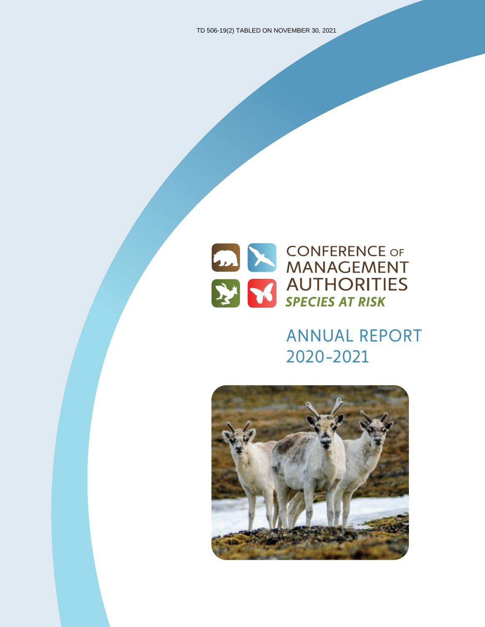

# ANNUAL REPORT 2020-2021

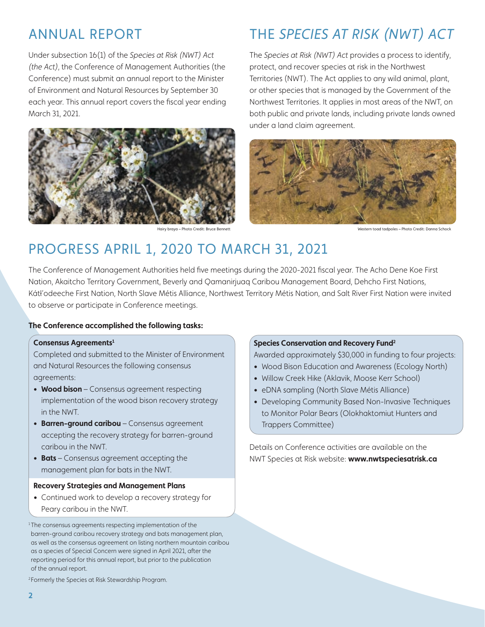### ANNUAL REPORT

Under subsection 16(1) of the *Species at Risk (NWT) Act (the Act)*, the Conference of Management Authorities (the Conference) must submit an annual report to the Minister of Environment and Natural Resources by September 30 each year. This annual report covers the fiscal year ending March 31, 2021.



Hairy braya – Photo Credit: Bruce Bennett

# THE *SPECIES AT RISK (NWT) ACT*

The *Species at Risk (NWT) Act* provides a process to identify, protect, and recover species at risk in the Northwest Territories (NWT). The Act applies to any wild animal, plant, or other species that is managed by the Government of the Northwest Territories. It applies in most areas of the NWT, on both public and private lands, including private lands owned under a land claim agreement.



Western toad tadpoles – Photo Credit: Danna Schock

### PROGRESS APRIL 1, 2020 TO MARCH 31, 2021

The Conference of Management Authorities held five meetings during the 2020-2021 fiscal year. The Acho Dene Koe First Nation, Akaitcho Territory Government, Beverly and Qamanirjuaq Caribou Management Board, Dehcho First Nations, Kátł'odeeche First Nation, North Slave Métis Alliance, Northwest Territory Métis Nation, and Salt River First Nation were invited to observe or participate in Conference meetings.

#### **The Conference accomplished the following tasks:**

#### **Consensus Agreements1**

Completed and submitted to the Minister of Environment and Natural Resources the following consensus agreements:

- **Wood bison** Consensus agreement respecting implementation of the wood bison recovery strategy in the NWT.
- **Barren-ground caribou** Consensus agreement accepting the recovery strategy for barren-ground caribou in the NWT.
- **Bats** Consensus agreement accepting the management plan for bats in the NWT.

#### **Recovery Strategies and Management Plans**

• Continued work to develop a recovery strategy for Peary caribou in the NWT.

<sup>1</sup>The consensus agreements respecting implementation of the barren-ground caribou recovery strategy and bats management plan, as well as the consensus agreement on listing northern mountain caribou as a species of Special Concern were signed in April 2021, after the reporting period for this annual report, but prior to the publication of the annual report.

<sup>2</sup> Formerly the Species at Risk Stewardship Program.

#### **Species Conservation and Recovery Fund2**

Awarded approximately \$30,000 in funding to four projects:

- Wood Bison Education and Awareness (Ecology North)
- Willow Creek Hike (Aklavik, Moose Kerr School)
- eDNA sampling (North Slave Métis Alliance)
- Developing Community Based Non-Invasive Techniques to Monitor Polar Bears (Olokhaktomiut Hunters and Trappers Committee)

Details on Conference activities are available on the NWT Species at Risk website: **www.nwtspeciesatrisk.ca**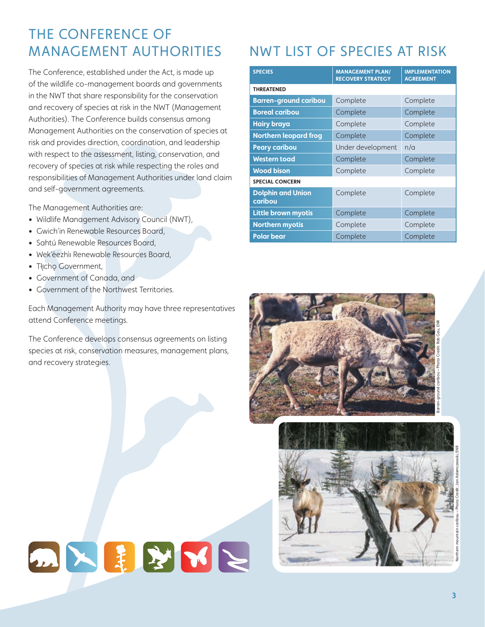### THE CONFERENCE OF MANAGEMENT AUTHORITIES

The Conference, established under the Act, is made up of the wildlife co-management boards and governments in the NWT that share responsibility for the conservation and recovery of species at risk in the NWT (Management Authorities). The Conference builds consensus among Management Authorities on the conservation of species at risk and provides direction, coordination, and leadership with respect to the assessment, listing, conservation, and recovery of species at risk while respecting the roles and responsibilities of Management Authorities under land claim and self-government agreements.

The Management Authorities are:

- Wildlife Management Advisory Council (NWT),
- Gwich'in Renewable Resources Board,
- Sahtú Renewable Resources Board,
- Wek'èezhìı Renewable Resources Board,
- Tłicho Government,
- Government of Canada, and
- Government of the Northwest Territories.

Each Management Authority may have three representatives attend Conference meetings.

The Conference develops consensus agreements on listing species at risk, conservation measures, management plans, and recovery strategies.

DNHVNN

# NWT LIST OF SPECIES AT RISK

| <b>SPECIES</b>                      | <b>MANAGEMENT PLAN/</b><br><b>RECOVERY STRATEGY</b> | <b>IMPLEMENTATION</b><br><b>AGREEMENT</b> |
|-------------------------------------|-----------------------------------------------------|-------------------------------------------|
| <b>THREATENED</b>                   |                                                     |                                           |
| <b>Barren-ground caribou</b>        | Complete                                            | Complete                                  |
| <b>Boreal caribou</b>               | Complete                                            | Complete                                  |
| <b>Hairy braya</b>                  | Complete                                            | Complete                                  |
| <b>Northern leopard frog</b>        | Complete                                            | Complete                                  |
| <b>Peary caribou</b>                | Under development                                   | n/a                                       |
| <b>Western toad</b>                 | Complete                                            | Complete                                  |
| <b>Wood bison</b>                   | Complete                                            | Complete                                  |
| <b>SPECIAL CONCERN</b>              |                                                     |                                           |
| <b>Dolphin and Union</b><br>caribou | Complete                                            | Complete                                  |
| <b>Little brown myotis</b>          | Complete                                            | Complete                                  |
| <b>Northern myotis</b>              | Complete                                            | Complete                                  |
| <b>Polar bear</b>                   | Complete                                            | Complete                                  |





Northern mountain caribou – Photo Credit: Jan Adamczewski, ENR